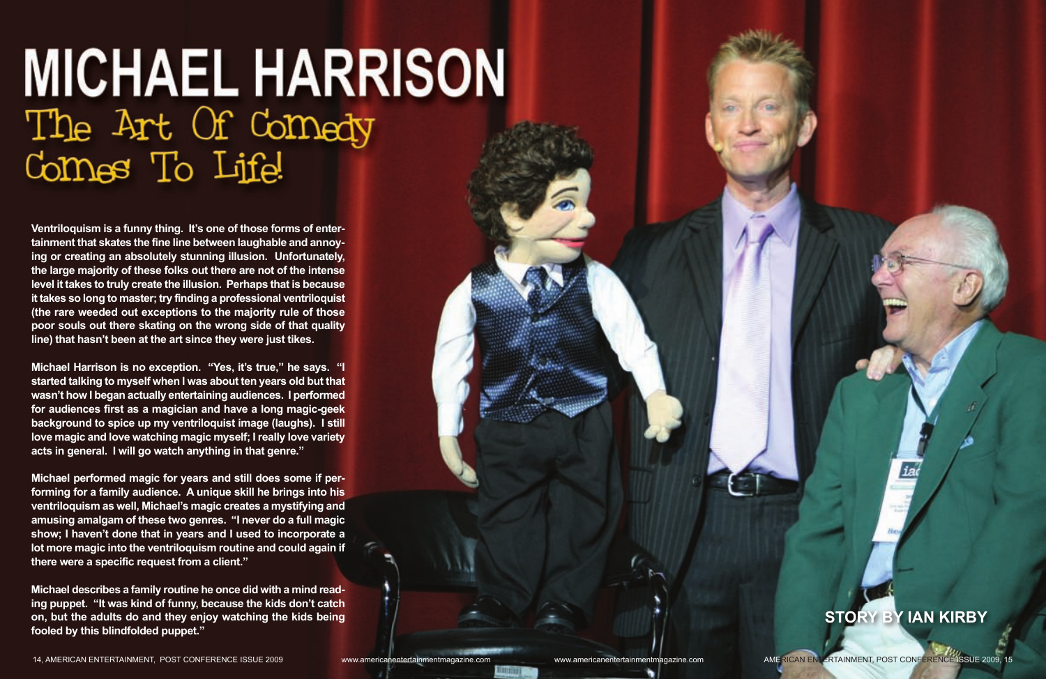## **MICHAEL HARRISON** The Art Of Comedy Comes To Life!

**Ventriloquism is a funny thing. It's one of those forms of entertainment that skates the fine line between laughable and annoying or creating an absolutely stunning illusion. Unfortunately, the large majority of these folks out there are not of the intense level it takes to truly create the illusion. Perhaps that is because it takes so long to master; try finding a professional ventriloquist (the rare weeded out exceptions to the majority rule of those poor souls out there skating on the wrong side of that quality line) that hasn't been at the art since they were just tikes.**

**Michael Harrison is no exception. "Yes, it's true," he says. "I started talking to myself when I was about ten years old but that wasn't how I began actually entertaining audiences. I performed for audiences first as a magician and have a long magic-geek background to spice up my ventriloquist image (laughs). I still love magic and love watching magic myself; I really love variety acts in general. I will go watch anything in that genre."**

**Michael performed magic for years and still does some if performing for a family audience. A unique skill he brings into his ventriloquism as well, Michael's magic creates a mystifying and amusing amalgam of these two genres. "I never do a full magic show; I haven't done that in years and I used to incorporate a lot more magic into the ventriloquism routine and could again if there were a specific request from a client."**

**Michael describes a family routine he once did with a mind reading puppet. "It was kind of funny, because the kids don't catch on, but the adults do and they enjoy watching the kids being fooled by this blindfolded puppet."**

## **STORY BY IAN KIRBY**

er www.americanentertainmentmagazine.com www.americanentertainmentmagazine.com www.americanentertainmentmagazine.com AMERICAN ENTERTAINMENT, POST CONFERENCE ISSUE 2009, 15